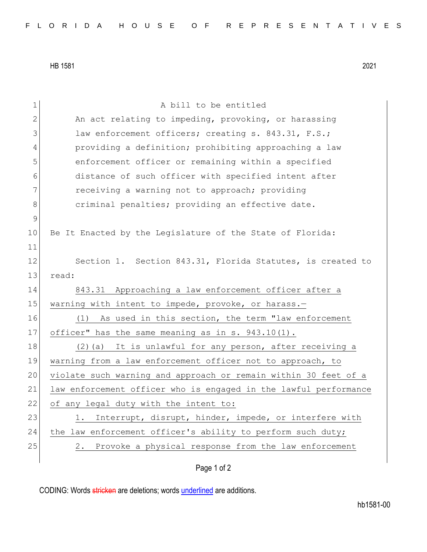HB 1581 2021

| 1           | A bill to be entitled                                            |
|-------------|------------------------------------------------------------------|
| 2           | An act relating to impeding, provoking, or harassing             |
| 3           | law enforcement officers; creating s. 843.31, F.S.;              |
| 4           | providing a definition; prohibiting approaching a law            |
| 5           | enforcement officer or remaining within a specified              |
| 6           | distance of such officer with specified intent after             |
| 7           | receiving a warning not to approach; providing                   |
| 8           | criminal penalties; providing an effective date.                 |
| $\mathsf 9$ |                                                                  |
| 10          | Be It Enacted by the Legislature of the State of Florida:        |
| 11          |                                                                  |
| 12          | Section 1. Section 843.31, Florida Statutes, is created to       |
| 13          | read:                                                            |
| 14          | 843.31 Approaching a law enforcement officer after a             |
| 15          | warning with intent to impede, provoke, or harass.-              |
| 16          | As used in this section, the term "law enforcement<br>(1)        |
| 17          | officer" has the same meaning as in s. 943.10(1).                |
| 18          | (2) (a) It is unlawful for any person, after receiving a         |
| 19          | warning from a law enforcement officer not to approach, to       |
| 20          | violate such warning and approach or remain within 30 feet of a  |
| 21          | law enforcement officer who is engaged in the lawful performance |
| 22          | of any legal duty with the intent to:                            |
| 23          | Interrupt, disrupt, hinder, impede, or interfere with<br>1.      |
| 24          | the law enforcement officer's ability to perform such duty;      |
| 25          | 2. Provoke a physical response from the law enforcement          |
|             |                                                                  |
|             | Page 1 of 2                                                      |

CODING: Words stricken are deletions; words underlined are additions.